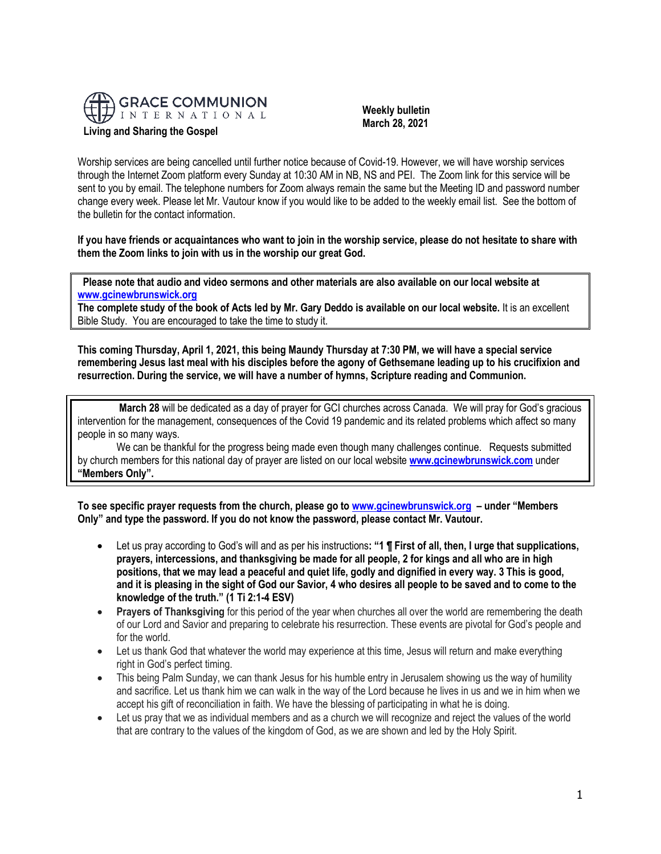

 **Weekly bulletin March 28, 2021**

Worship services are being cancelled until further notice because of Covid-19. However, we will have worship services through the Internet Zoom platform every Sunday at 10:30 AM in NB, NS and PEI. The Zoom link for this service will be sent to you by email. The telephone numbers for Zoom always remain the same but the Meeting ID and password number change every week. Please let Mr. Vautour know if you would like to be added to the weekly email list. See the bottom of the bulletin for the contact information.

**If you have friends or acquaintances who want to join in the worship service, please do not hesitate to share with them the Zoom links to join with us in the worship our great God.**

 **Please note that audio and video sermons and other materials are also available on our local website at [www.gcinewbrunswick.org](http://www.gcinewbrunswick.org/)** 

**The complete study of the book of Acts led by Mr. Gary Deddo is available on our local website.** It is an excellent Bible Study. You are encouraged to take the time to study it.

**This coming Thursday, April 1, 2021, this being Maundy Thursday at 7:30 PM, we will have a special service remembering Jesus last meal with his disciples before the agony of Gethsemane leading up to his crucifixion and resurrection. During the service, we will have a number of hymns, Scripture reading and Communion.**

**March 28** will be dedicated as a day of prayer for GCI churches across Canada. We will pray for God's gracious intervention for the management, consequences of the Covid 19 pandemic and its related problems which affect so many people in so many ways.

We can be thankful for the progress being made even though many challenges continue. Requests submitted by church members for this national day of prayer are listed on our local website **[www.gcinewbrunswick.com](http://www.gcinewbrunswick.com/)** under **"Members Only".**

**To see specific prayer requests from the church, please go to [www.gcinewbrunswick.org](http://www.gcinewbrunswick.org/) – under "Members Only" and type the password. If you do not know the password, please contact Mr. Vautour.**

- Let us pray according to God's will and as per his instructions**: "1 ¶ First of all, then, I urge that supplications, prayers, intercessions, and thanksgiving be made for all people, 2 for kings and all who are in high positions, that we may lead a peaceful and quiet life, godly and dignified in every way. 3 This is good, and it is pleasing in the sight of God our Savior, 4 who desires all people to be saved and to come to the knowledge of the truth." (1 Ti 2:1-4 ESV)**
- **Prayers of Thanksgiving** for this period of the year when churches all over the world are remembering the death of our Lord and Savior and preparing to celebrate his resurrection. These events are pivotal for God's people and for the world.
- Let us thank God that whatever the world may experience at this time, Jesus will return and make everything right in God's perfect timing.
- This being Palm Sunday, we can thank Jesus for his humble entry in Jerusalem showing us the way of humility and sacrifice. Let us thank him we can walk in the way of the Lord because he lives in us and we in him when we accept his gift of reconciliation in faith. We have the blessing of participating in what he is doing.
- Let us pray that we as individual members and as a church we will recognize and reject the values of the world that are contrary to the values of the kingdom of God, as we are shown and led by the Holy Spirit.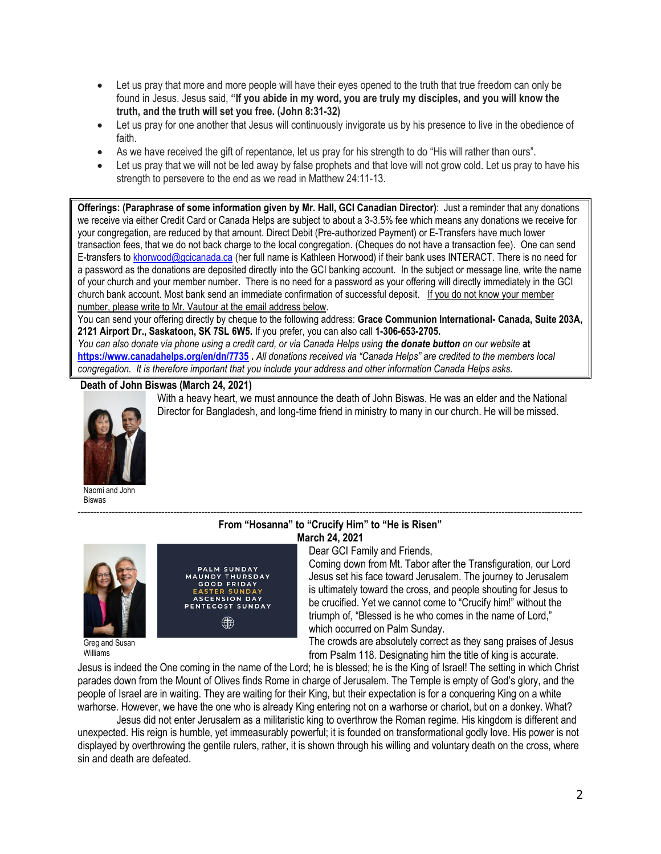- Let us pray that more and more people will have their eyes opened to the truth that true freedom can only be found in Jesus. Jesus said, **"If you abide in my word, you are truly my disciples, and you will know the truth, and the truth will set you free. (John 8:31-32)**
- Let us pray for one another that Jesus will continuously invigorate us by his presence to live in the obedience of faith.
- As we have received the gift of repentance, let us pray for his strength to do "His will rather than ours".
- Let us pray that we will not be led away by false prophets and that love will not grow cold. Let us pray to have his strength to persevere to the end as we read in Matthew 24:11-13.

**Offerings: (Paraphrase of some information given by Mr. Hall, GCI Canadian Director)**: Just a reminder that any donations we receive via either Credit Card or Canada Helps are subject to about a 3-3.5% fee which means any donations we receive for your congregation, are reduced by that amount. Direct Debit (Pre-authorized Payment) or E-Transfers have much lower transaction fees, that we do not back charge to the local congregation. (Cheques do not have a transaction fee). One can send E-transfers t[o khorwood@gcicanada.ca](mailto:khorwood@gcicanada.ca) (her full name is Kathleen Horwood) if their bank uses INTERACT. There is no need for a password as the donations are deposited directly into the GCI banking account. In the subject or message line, write the name of your church and your member number. There is no need for a password as your offering will directly immediately in the GCI church bank account. Most bank send an immediate confirmation of successful deposit. If you do not know your member number, please write to Mr. Vautour at the email address below.

You can send your offering directly by cheque to the following address: **Grace Communion International- Canada, Suite 203A, 2121 Airport Dr., Saskatoon, SK 7SL 6W5.** If you prefer, you can also call **1-306-653-2705.** 

*You can also donate via phone using a credit card, or via Canada Helps using the donate button on our website* **at <https://www.canadahelps.org/en/dn/7735> .** *All donations received via "Canada Helps" are credited to the members local congregation. It is therefore important that you include your address and other information Canada Helps asks.*

# **Death of John Biswas (March 24, 2021)**



Naomi and John Biswas

Greg and Susan Williams



**March 24, 2021**

------------------------------------------------------------------------------------------------------------------------------------------------------------------- **From "Hosanna" to "Crucify Him" to "He is Risen"**

Dear GCI Family and Friends,

With a heavy heart, we must announce the death of John Biswas. He was an elder and the National Director for Bangladesh, and long-time friend in ministry to many in our church. He will be missed.

> Coming down from Mt. Tabor after the Transfiguration, our Lord Jesus set his face toward Jerusalem. The journey to Jerusalem is ultimately toward the cross, and people shouting for Jesus to be crucified. Yet we cannot come to "Crucify him!" without the triumph of, "Blessed is he who comes in the name of Lord," which occurred on Palm Sunday.

The crowds are absolutely correct as they sang praises of Jesus from Psalm 118. Designating him the title of king is accurate.

Jesus is indeed the One coming in the name of the Lord; he is blessed; he is the King of Israel! The setting in which Christ parades down from the Mount of Olives finds Rome in charge of Jerusalem. The Temple is empty of God's glory, and the people of Israel are in waiting. They are waiting for their King, but their expectation is for a conquering King on a white warhorse. However, we have the one who is already King entering not on a warhorse or chariot, but on a donkey. What?

Jesus did not enter Jerusalem as a militaristic king to overthrow the Roman regime. His kingdom is different and unexpected. His reign is humble, yet immeasurably powerful; it is founded on transformational godly love. His power is not displayed by overthrowing the gentile rulers, rather, it is shown through his willing and voluntary death on the cross, where sin and death are defeated.

2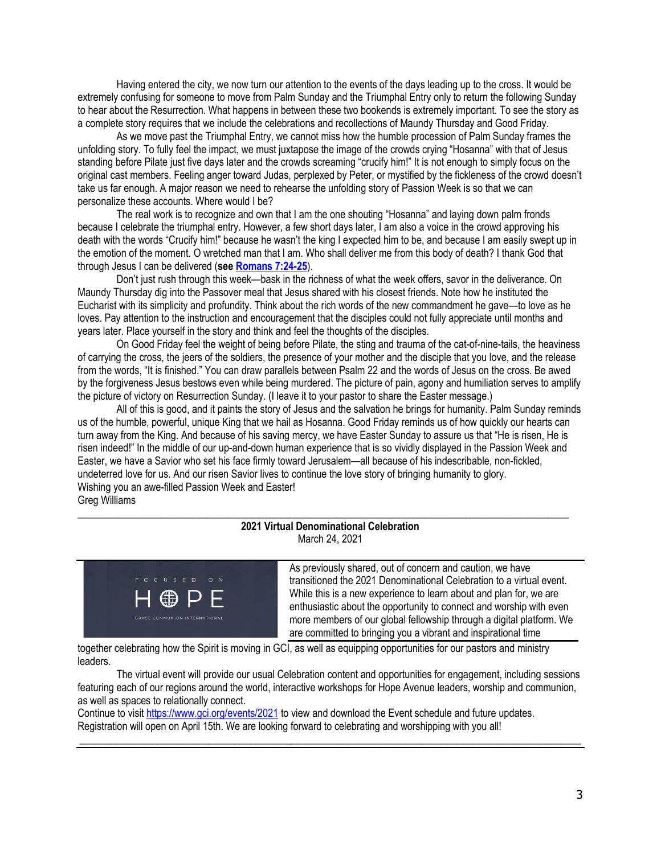Having entered the city, we now turn our attention to the events of the days leading up to the cross. It would be extremely confusing for someone to move from Palm Sunday and the Triumphal Entry only to return the following Sunday to hear about the Resurrection. What happens in between these two bookends is extremely important. To see the story as a complete story requires that we include the celebrations and recollections of Maundy Thursday and Good Friday.

As we move past the Triumphal Entry, we cannot miss how the humble procession of Palm Sunday frames the unfolding story. To fully feel the impact, we must juxtapose the image of the crowds crying "Hosanna" with that of Jesus standing before Pilate just five days later and the crowds screaming "crucify him!" It is not enough to simply focus on the original cast members. Feeling anger toward Judas, perplexed by Peter, or mystified by the fickleness of the crowd doesn't take us far enough. A major reason we need to rehearse the unfolding story of Passion Week is so that we can personalize these accounts. Where would I be?

The real work is to recognize and own that I am the one shouting "Hosanna" and laying down palm fronds because I celebrate the triumphal entry. However, a few short days later, I am also a voice in the crowd approving his death with the words "Crucify him!" because he wasn't the king I expected him to be, and because I am easily swept up in the emotion of the moment. O wretched man that I am. Who shall deliver me from this body of death? I thank God that through Jesus I can be delivered (**see [Romans 7:24-25](https://biblia.com/bible/niv/Rom%207.24-25)**).

Don't just rush through this week—bask in the richness of what the week offers, savor in the deliverance. On Maundy Thursday dig into the Passover meal that Jesus shared with his closest friends. Note how he instituted the Eucharist with its simplicity and profundity. Think about the rich words of the new commandment he gave—to love as he loves. Pay attention to the instruction and encouragement that the disciples could not fully appreciate until months and years later. Place yourself in the story and think and feel the thoughts of the disciples.

On Good Friday feel the weight of being before Pilate, the sting and trauma of the cat-of-nine-tails, the heaviness of carrying the cross, the jeers of the soldiers, the presence of your mother and the disciple that you love, and the release from the words, "It is finished." You can draw parallels between Psalm 22 and the words of Jesus on the cross. Be awed by the forgiveness Jesus bestows even while being murdered. The picture of pain, agony and humiliation serves to amplify the picture of victory on Resurrection Sunday. (I leave it to your pastor to share the Easter message.)

All of this is good, and it paints the story of Jesus and the salvation he brings for humanity. Palm Sunday reminds us of the humble, powerful, unique King that we hail as Hosanna. Good Friday reminds us of how quickly our hearts can turn away from the King. And because of his saving mercy, we have Easter Sunday to assure us that "He is risen, He is risen indeed!" In the middle of our up-and-down human experience that is so vividly displayed in the Passion Week and Easter, we have a Savior who set his face firmly toward Jerusalem—all because of his indescribable, non-fickled, undeterred love for us. And our risen Savior lives to continue the love story of bringing humanity to glory. Wishing you an awe-filled Passion Week and Easter! Greg Williams

### **2021 Virtual Denominational Celebration** March 24, 2021

\_\_\_\_\_\_\_\_\_\_\_\_\_\_\_\_\_\_\_\_\_\_\_\_\_\_\_\_\_\_\_\_\_\_\_\_\_\_\_\_\_\_\_\_\_\_\_\_\_\_\_\_\_\_\_\_\_\_\_\_\_\_\_\_\_\_\_\_\_\_\_\_\_\_\_\_\_\_\_\_\_\_\_\_\_\_\_\_\_\_\_\_\_\_\_



As previously shared, out of concern and caution, we have transitioned the 2021 Denominational Celebration to a virtual event. While this is a new experience to learn about and plan for, we are enthusiastic about the opportunity to connect and worship with even more members of our global fellowship through a digital platform. We are committed to bringing you a vibrant and inspirational time

together celebrating how the Spirit is moving in GCI, as well as equipping opportunities for our pastors and ministry leaders.

The virtual event will provide our usual Celebration content and opportunities for engagement, including sessions featuring each of our regions around the world, interactive workshops for Hope Avenue leaders, worship and communion, as well as spaces to relationally connect.

**\_\_\_\_\_\_\_\_\_\_\_\_\_\_\_\_\_\_\_\_\_\_\_\_\_\_\_\_\_\_\_\_\_\_\_\_\_\_\_\_\_\_\_\_\_\_\_\_\_\_\_\_\_\_\_\_\_\_\_\_\_\_\_\_\_\_\_\_\_\_\_\_\_\_\_\_\_\_\_\_\_\_\_\_\_\_\_\_\_\_\_\_\_\_\_\_\_**

Continue to visit [https://www.gci.org/events/2021](https://www.gci.org/events/2021/) to view and download the Event schedule and future updates. Registration will open on April 15th. We are looking forward to celebrating and worshipping with you all!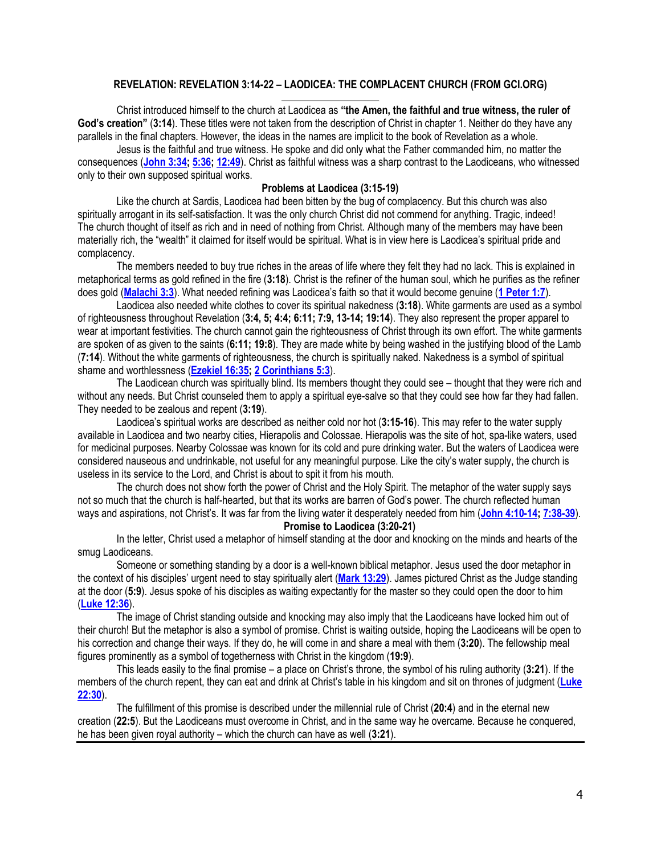# **REVELATION: REVELATION 3:14-22 – LAODICEA: THE COMPLACENT CHURCH (FROM GCI.ORG)**

Christ introduced himself to the church at Laodicea as **"the Amen, the faithful and true witness, the ruler of God's creation"** (**3:14**). These titles were not taken from the description of Christ in chapter 1. Neither do they have any parallels in the final chapters. However, the ideas in the names are implicit to the book of Revelation as a whole.

Jesus is the faithful and true witness. He spoke and did only what the Father commanded him, no matter the consequences (**[John 3:34;](https://biblia.com/bible/niv/John%203.34) [5:36;](https://biblia.com/bible/niv/John%205.36) [12:49](https://biblia.com/bible/niv/John%2012.49)**). Christ as faithful witness was a sharp contrast to the Laodiceans, who witnessed only to their own supposed spiritual works.

#### **Problems at Laodicea (3:15-19)**

Like the church at Sardis, Laodicea had been bitten by the bug of complacency. But this church was also spiritually arrogant in its self-satisfaction. It was the only church Christ did not commend for anything. Tragic, indeed! The church thought of itself as rich and in need of nothing from Christ. Although many of the members may have been materially rich, the "wealth" it claimed for itself would be spiritual. What is in view here is Laodicea's spiritual pride and complacency.

The members needed to buy true riches in the areas of life where they felt they had no lack. This is explained in metaphorical terms as gold refined in the fire (**3:18**). Christ is the refiner of the human soul, which he purifies as the refiner does gold (**[Malachi 3:3](https://biblia.com/bible/niv/Mal%203.3)**). What needed refining was Laodicea's faith so that it would become genuine (**[1 Peter 1:7](https://biblia.com/bible/niv/1%20Pet%201.7)**).

Laodicea also needed white clothes to cover its spiritual nakedness (**3:18**). White garments are used as a symbol of righteousness throughout Revelation (**3:4, 5; 4:4; 6:11; 7:9, 13-14; 19:14**). They also represent the proper apparel to wear at important festivities. The church cannot gain the righteousness of Christ through its own effort. The white garments are spoken of as given to the saints (**6:11; 19:8**). They are made white by being washed in the justifying blood of the Lamb (**7:14**). Without the white garments of righteousness, the church is spiritually naked. Nakedness is a symbol of spiritual shame and worthlessness (**[Ezekiel 16:35;](https://biblia.com/bible/niv/Ezek%2016.35) [2 Corinthians 5:3](https://biblia.com/bible/niv/2%20Cor%205.3)**).

The Laodicean church was spiritually blind. Its members thought they could see – thought that they were rich and without any needs. But Christ counseled them to apply a spiritual eye-salve so that they could see how far they had fallen. They needed to be zealous and repent (**3:19**).

Laodicea's spiritual works are described as neither cold nor hot (**3:15-16**). This may refer to the water supply available in Laodicea and two nearby cities, Hierapolis and Colossae. Hierapolis was the site of hot, spa-like waters, used for medicinal purposes. Nearby Colossae was known for its cold and pure drinking water. But the waters of Laodicea were considered nauseous and undrinkable, not useful for any meaningful purpose. Like the city's water supply, the church is useless in its service to the Lord, and Christ is about to spit it from his mouth.

The church does not show forth the power of Christ and the Holy Spirit. The metaphor of the water supply says not so much that the church is half-hearted, but that its works are barren of God's power. The church reflected human ways and aspirations, not Christ's. It was far from the living water it desperately needed from him (**[John 4:10-14;](https://biblia.com/bible/niv/John%204.10-14) [7:38-39](https://biblia.com/bible/niv/John%207.38-39)**).

**Promise to Laodicea (3:20-21)**

In the letter, Christ used a metaphor of himself standing at the door and knocking on the minds and hearts of the smug Laodiceans.

Someone or something standing by a door is a well-known biblical metaphor. Jesus used the door metaphor in the context of his disciples' urgent need to stay spiritually alert (**[Mark 13:29](https://biblia.com/bible/niv/Mark%2013.29)**). James pictured Christ as the Judge standing at the door (**5:9**). Jesus spoke of his disciples as waiting expectantly for the master so they could open the door to him (**[Luke 12:36](https://biblia.com/bible/niv/Luke%2012.36)**).

The image of Christ standing outside and knocking may also imply that the Laodiceans have locked him out of their church! But the metaphor is also a symbol of promise. Christ is waiting outside, hoping the Laodiceans will be open to his correction and change their ways. If they do, he will come in and share a meal with them (**3:20**). The fellowship meal figures prominently as a symbol of togetherness with Christ in the kingdom (**19:9**).

This leads easily to the final promise – a place on Christ's throne, the symbol of his ruling authority (**3:21**). If the members of the church repent, they can eat and drink at Christ's table in his kingdom and sit on thrones of judgment (**[Luke](https://biblia.com/bible/niv/Luke%2022.30)  [22:30](https://biblia.com/bible/niv/Luke%2022.30)**).

The fulfillment of this promise is described under the millennial rule of Christ (**20:4**) and in the eternal new creation (**22:5**). But the Laodiceans must overcome in Christ, and in the same way he overcame. Because he conquered, he has been given royal authority – which the church can have as well (**3:21**).